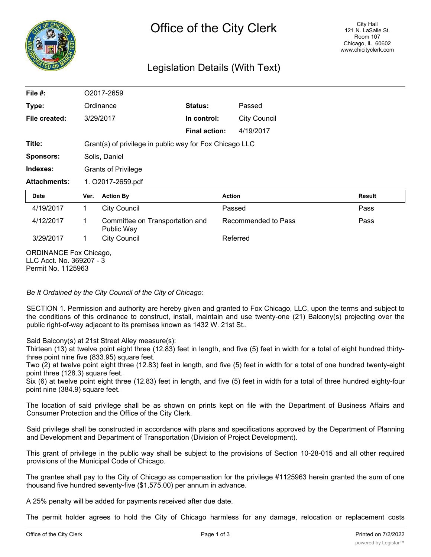

# Legislation Details (With Text)

| File $#$ :                                                | O2017-2659                                              |                                               |                      |                     |                     |               |
|-----------------------------------------------------------|---------------------------------------------------------|-----------------------------------------------|----------------------|---------------------|---------------------|---------------|
| Type:                                                     | Ordinance                                               |                                               | Status:              |                     | Passed              |               |
| File created:                                             | 3/29/2017                                               |                                               | In control:          |                     | <b>City Council</b> |               |
|                                                           |                                                         |                                               | <b>Final action:</b> |                     | 4/19/2017           |               |
| Title:                                                    | Grant(s) of privilege in public way for Fox Chicago LLC |                                               |                      |                     |                     |               |
| <b>Sponsors:</b>                                          | Solis, Daniel                                           |                                               |                      |                     |                     |               |
| Indexes:                                                  | <b>Grants of Privilege</b>                              |                                               |                      |                     |                     |               |
| <b>Attachments:</b>                                       | 1. O2017-2659.pdf                                       |                                               |                      |                     |                     |               |
| Date                                                      | Ver.                                                    | <b>Action By</b>                              |                      | <b>Action</b>       |                     | <b>Result</b> |
| 4/19/2017                                                 | 1                                                       | <b>City Council</b>                           |                      | Passed              |                     | Pass          |
| 4/12/2017                                                 | 1                                                       | Committee on Transportation and<br>Public Way |                      | Recommended to Pass |                     | Pass          |
| 3/29/2017                                                 | <b>City Council</b><br>1                                |                                               |                      | Referred            |                     |               |
| <b>ORDINANCE Fox Chicago,</b><br>LLC Acct. No. 369207 - 3 |                                                         |                                               |                      |                     |                     |               |

*Be It Ordained by the City Council of the City of Chicago:*

SECTION 1. Permission and authority are hereby given and granted to Fox Chicago, LLC, upon the terms and subject to the conditions of this ordinance to construct, install, maintain and use twenty-one (21) Balcony(s) projecting over the public right-of-way adjacent to its premises known as 1432 W. 21st St..

Said Balcony(s) at 21st Street Alley measure(s):

Thirteen (13) at twelve point eight three (12.83) feet in length, and five (5) feet in width for a total of eight hundred thirtythree point nine five (833.95) square feet.

Two (2) at twelve point eight three (12.83) feet in length, and five (5) feet in width for a total of one hundred twenty-eight point three (128.3) square feet.

Six (6) at twelve point eight three (12.83) feet in length, and five (5) feet in width for a total of three hundred eighty-four point nine (384.9) square feet.

The location of said privilege shall be as shown on prints kept on file with the Department of Business Affairs and Consumer Protection and the Office of the City Clerk.

Said privilege shall be constructed in accordance with plans and specifications approved by the Department of Planning and Development and Department of Transportation (Division of Project Development).

This grant of privilege in the public way shall be subject to the provisions of Section 10-28-015 and all other required provisions of the Municipal Code of Chicago.

The grantee shall pay to the City of Chicago as compensation for the privilege #1125963 herein granted the sum of one thousand five hundred seventy-five (\$1,575.00) per annum in advance.

A 25% penalty will be added for payments received after due date.

The permit holder agrees to hold the City of Chicago harmless for any damage, relocation or replacement costs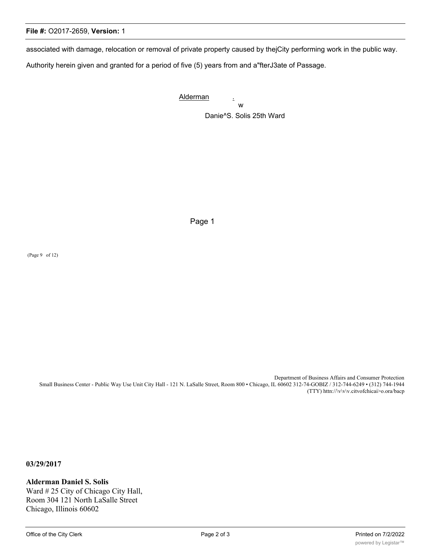## **File #:** O2017-2659, **Version:** 1

associated with damage, relocation or removal of private property caused by thejCity performing work in the public way.

Authority herein given and granted for a period of five (5) years from and a"fterJ3ate of Passage.

Alderman . w Danie^S. Solis 25th Ward

Page 1

(Page 9 of 12)

Department of Business Affairs and Consumer Protection Small Business Center - Public Way Use Unit City Hall - 121 N. LaSalle Street, Room 800 • Chicago, IL 60602 312-74-GOBIZ / 312-744-6249 • (312) 744-1944 (TTY) httn://\v\v\v.citvofchicai>o.ora/bacp

**03/29/2017**

#### **Alderman Daniel S. Solis**

Ward # 25 City of Chicago City Hall, Room 304 121 North LaSalle Street Chicago, Illinois 60602